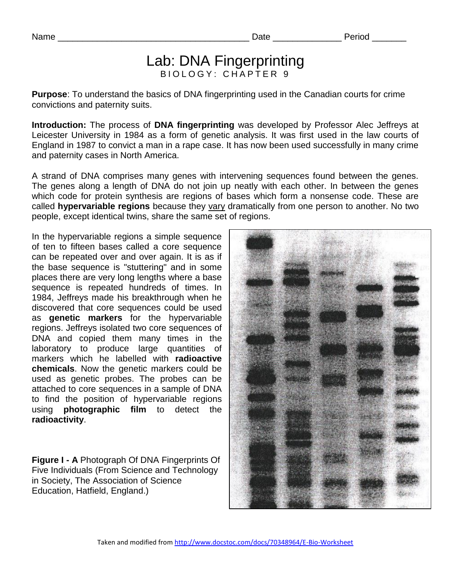# Lab: DNA Fingerprinting BIOLOGY: CHAPTER 9

**Purpose**: To understand the basics of DNA fingerprinting used in the Canadian courts for crime convictions and paternity suits.

**Introduction:** The process of **DNA fingerprinting** was developed by Professor Alec Jeffreys at Leicester University in 1984 as a form of genetic analysis. It was first used in the law courts of England in 1987 to convict a man in a rape case. It has now been used successfully in many crime and paternity cases in North America.

A strand of DNA comprises many genes with intervening sequences found between the genes. The genes along a length of DNA do not join up neatly with each other. In between the genes which code for protein synthesis are regions of bases which form a nonsense code. These are called **hypervariable regions** because they vary dramatically from one person to another. No two people, except identical twins, share the same set of regions.

In the hypervariable regions a simple sequence of ten to fifteen bases called a core sequence can be repeated over and over again. It is as if the base sequence is "stuttering" and in some places there are very long lengths where a base sequence is repeated hundreds of times. In 1984, Jeffreys made his breakthrough when he discovered that core sequences could be used as **genetic markers** for the hypervariable regions. Jeffreys isolated two core sequences of DNA and copied them many times in the laboratory to produce large quantities of markers which he labelled with **radioactive chemicals**. Now the genetic markers could be used as genetic probes. The probes can be attached to core sequences in a sample of DNA to find the position of hypervariable regions using **photographic film** to detect the **radioactivity**.

**Figure I - A** Photograph Of DNA Fingerprints Of Five Individuals (From Science and Technology in Society, The Association of Science Education, Hatfield, England.)

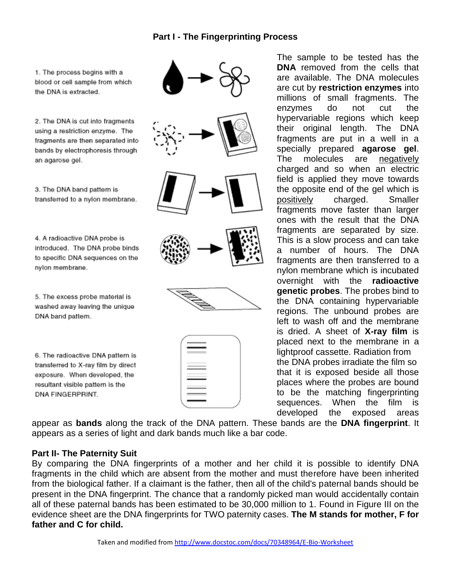### **Part I - The Fingerprinting Process**

1. The process begins with a blood or cell sample from which the DNA is extracted.

2. The DNA is cut into fragments using a restriction enzyme. The fragments are then separated into bands by electrophoresis through an agarose gel.

3. The DNA band pattern is transferred to a nylon membrane.

4. A radioactive DNA probe is introduced. The DNA probe binds to specific DNA sequences on the nylon membrane.

5. The excess probe material is washed away leaving the unique DNA band pattern.

6. The radioactive DNA pattern is transferred to X-ray film by direct exposure. When developed, the resultant visible pattern is the DNA FINGERPRINT.



The sample to be tested has the **DNA** removed from the cells that are available. The DNA molecules are cut by **restriction enzymes** into millions of small fragments. The enzymes do not cut the hypervariable regions which keep their original length. The DNA fragments are put in a well in a specially prepared **agarose gel**. The molecules are negatively charged and so when an electric field is applied they move towards the opposite end of the gel which is positively charged. Smaller fragments move faster than larger ones with the result that the DNA fragments are separated by size. This is a slow process and can take a number of hours. The DNA fragments are then transferred to a nylon membrane which is incubated overnight with the **radioactive genetic probes**. The probes bind to the DNA containing hypervariable regions. The unbound probes are left to wash off and the membrane is dried. A sheet of **X-ray film** is placed next to the membrane in a lightproof cassette. Radiation from the DNA probes irradiate the film so that it is exposed beside all those places where the probes are bound to be the matching fingerprinting sequences. When the film is developed the exposed areas

appear as **bands** along the track of the DNA pattern. These bands are the **DNA fingerprint**. It appears as a series of light and dark bands much like a bar code.

#### **Part II- The Paternity Suit**

By comparing the DNA fingerprints of a mother and her child it is possible to identify DNA fragments in the child which are absent from the mother and must therefore have been inherited from the biological father. If a claimant is the father, then all of the child's paternal bands should be present in the DNA fingerprint. The chance that a randomly picked man would accidentally contain all of these paternal bands has been estimated to be 30,000 million to 1. Found in Figure III on the evidence sheet are the DNA fingerprints for TWO paternity cases. **The M stands for mother, F for father and C for child.**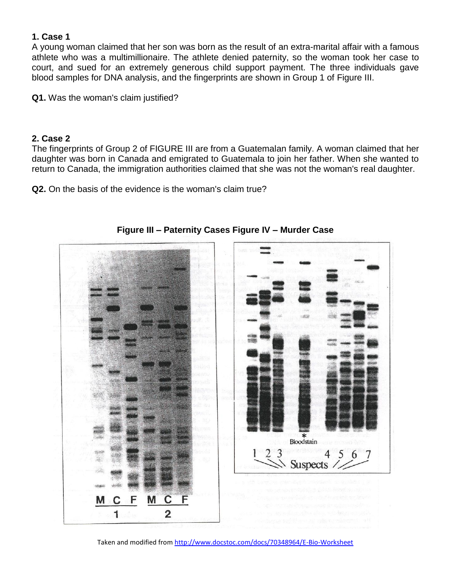# **1. Case 1**

A young woman claimed that her son was born as the result of an extra-marital affair with a famous athlete who was a multimillionaire. The athlete denied paternity, so the woman took her case to court, and sued for an extremely generous child support payment. The three individuals gave blood samples for DNA analysis, and the fingerprints are shown in Group 1 of Figure III.

**Q1.** Was the woman's claim justified?

### **2. Case 2**

The fingerprints of Group 2 of FIGURE III are from a Guatemalan family. A woman claimed that her daughter was born in Canada and emigrated to Guatemala to join her father. When she wanted to return to Canada, the immigration authorities claimed that she was not the woman's real daughter.

**Q2.** On the basis of the evidence is the woman's claim true?



**Figure III – Paternity Cases Figure IV – Murder Case**

Taken and modified from http://www.docstoc.com/docs/70348964/E-Bio-Worksheet